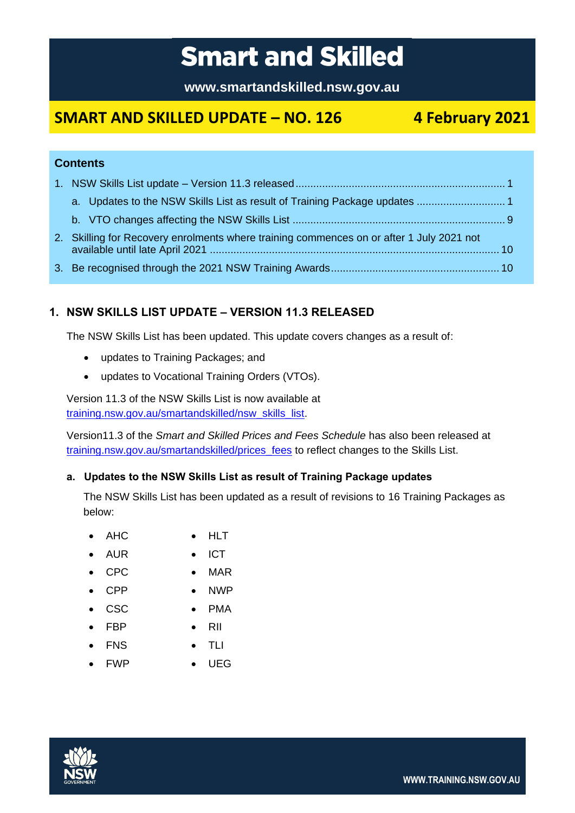# **Smart and Skilled**

**www.smartandskilled.nsw.gov.au**

# **SMART AND SKILLED UPDATE – NO. 126 4 February 2021**

# **Contents**

| 2. Skilling for Recovery enrolments where training commences on or after 1 July 2021 not |  |
|------------------------------------------------------------------------------------------|--|
|                                                                                          |  |

# <span id="page-0-0"></span>**1. NSW SKILLS LIST UPDATE – VERSION 11.3 RELEASED**

The NSW Skills List has been updated. This update covers changes as a result of:

- updates to Training Packages; and
- updates to Vocational Training Orders (VTOs).

Version 11.3 of the NSW Skills List is now available at [training.nsw.gov.au/smartandskilled/nsw\\_skills\\_list.](http://www.training.nsw.gov.au/smartandskilled/nsw_skills_list.html)

Version11.3 of the *Smart and Skilled Prices and Fees Schedule* has also been released at [training.nsw.gov.au/smartandskilled/prices\\_fees](https://www.training.nsw.gov.au/smartandskilled/prices_fees.html) to reflect changes to the Skills List.

#### <span id="page-0-1"></span>**a. Updates to the NSW Skills List as result of Training Package updates**

The NSW Skills List has been updated as a result of revisions to 16 Training Packages as below:

- AHC HLT
- AUR ICT
- CPC MAR
- CPP NWP
- CSC PMA
- FBP RII
	-
	- FNS TLI
- FWP UEG



**WWW.TRAINING.NSW.GOV.AU**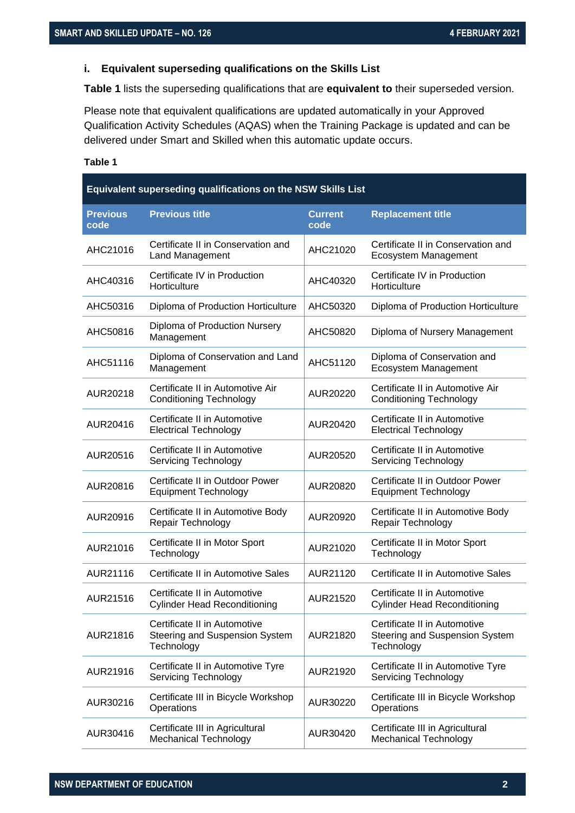#### **i. Equivalent superseding qualifications on the Skills List**

**Table 1** lists the superseding qualifications that are **equivalent to** their superseded version.

Please note that equivalent qualifications are updated automatically in your Approved Qualification Activity Schedules (AQAS) when the Training Package is updated and can be delivered under Smart and Skilled when this automatic update occurs.

| Equivalent superseding qualifications on the NSW Skills List |                                                                              |                        |                                                                              |
|--------------------------------------------------------------|------------------------------------------------------------------------------|------------------------|------------------------------------------------------------------------------|
| <b>Previous</b><br>code                                      | <b>Previous title</b>                                                        | <b>Current</b><br>code | <b>Replacement title</b>                                                     |
| AHC21016                                                     | Certificate II in Conservation and<br><b>Land Management</b>                 | AHC21020               | Certificate II in Conservation and<br>Ecosystem Management                   |
| AHC40316                                                     | Certificate IV in Production<br>Horticulture                                 | AHC40320               | Certificate IV in Production<br>Horticulture                                 |
| AHC50316                                                     | Diploma of Production Horticulture                                           | AHC50320               | Diploma of Production Horticulture                                           |
| AHC50816                                                     | Diploma of Production Nursery<br>Management                                  | AHC50820               | Diploma of Nursery Management                                                |
| AHC51116                                                     | Diploma of Conservation and Land<br>Management                               | AHC51120               | Diploma of Conservation and<br>Ecosystem Management                          |
| AUR20218                                                     | Certificate II in Automotive Air<br><b>Conditioning Technology</b>           | AUR20220               | Certificate II in Automotive Air<br><b>Conditioning Technology</b>           |
| AUR20416                                                     | Certificate II in Automotive<br><b>Electrical Technology</b>                 | AUR20420               | Certificate II in Automotive<br><b>Electrical Technology</b>                 |
| AUR20516                                                     | Certificate II in Automotive<br><b>Servicing Technology</b>                  | AUR20520               | Certificate II in Automotive<br><b>Servicing Technology</b>                  |
| AUR20816                                                     | Certificate II in Outdoor Power<br><b>Equipment Technology</b>               | AUR20820               | Certificate II in Outdoor Power<br><b>Equipment Technology</b>               |
| AUR20916                                                     | Certificate II in Automotive Body<br>Repair Technology                       | AUR20920               | Certificate II in Automotive Body<br>Repair Technology                       |
| AUR21016                                                     | Certificate II in Motor Sport<br>Technology                                  | AUR21020               | Certificate II in Motor Sport<br>Technology                                  |
| AUR21116                                                     | Certificate II in Automotive Sales                                           | AUR21120               | Certificate II in Automotive Sales                                           |
| AUR21516                                                     | Certificate II in Automotive<br><b>Cylinder Head Reconditioning</b>          | AUR21520               | Certificate II in Automotive<br><b>Cylinder Head Reconditioning</b>          |
| AUR21816                                                     | Certificate II in Automotive<br>Steering and Suspension System<br>Technology | AUR21820               | Certificate II in Automotive<br>Steering and Suspension System<br>Technology |
| AUR21916                                                     | Certificate II in Automotive Tyre<br><b>Servicing Technology</b>             | AUR21920               | Certificate II in Automotive Tyre<br><b>Servicing Technology</b>             |
| AUR30216                                                     | Certificate III in Bicycle Workshop<br>Operations                            | AUR30220               | Certificate III in Bicycle Workshop<br>Operations                            |
| AUR30416                                                     | Certificate III in Agricultural<br>Mechanical Technology                     | AUR30420               | Certificate III in Agricultural<br><b>Mechanical Technology</b>              |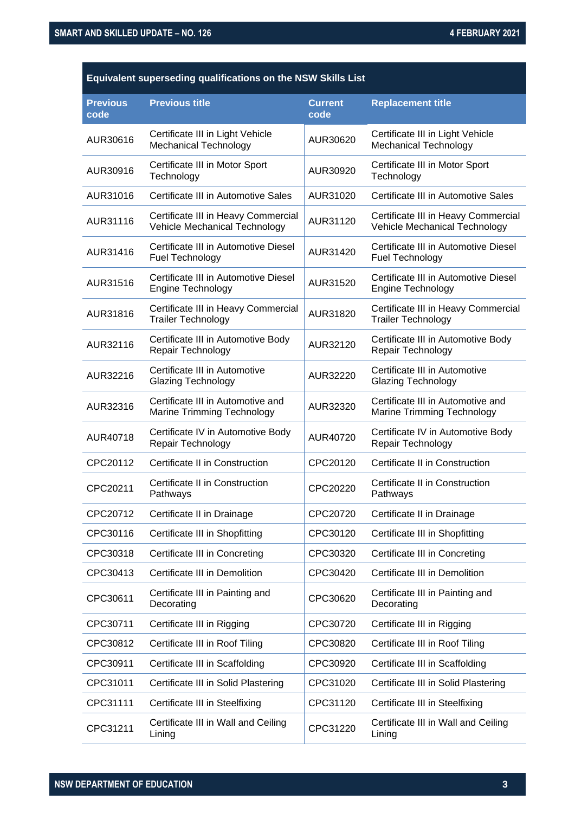| Equivalent superseding qualifications on the NSW Skills List |                                                                        |                        |                                                                      |
|--------------------------------------------------------------|------------------------------------------------------------------------|------------------------|----------------------------------------------------------------------|
| <b>Previous</b><br>code                                      | <b>Previous title</b>                                                  | <b>Current</b><br>code | <b>Replacement title</b>                                             |
| AUR30616                                                     | Certificate III in Light Vehicle<br><b>Mechanical Technology</b>       | AUR30620               | Certificate III in Light Vehicle<br><b>Mechanical Technology</b>     |
| AUR30916                                                     | Certificate III in Motor Sport<br>Technology                           | AUR30920               | Certificate III in Motor Sport<br>Technology                         |
| AUR31016                                                     | Certificate III in Automotive Sales                                    | AUR31020               | Certificate III in Automotive Sales                                  |
| AUR31116                                                     | Certificate III in Heavy Commercial<br>Vehicle Mechanical Technology   | AUR31120               | Certificate III in Heavy Commercial<br>Vehicle Mechanical Technology |
| AUR31416                                                     | Certificate III in Automotive Diesel<br>Fuel Technology                | AUR31420               | Certificate III in Automotive Diesel<br>Fuel Technology              |
| AUR31516                                                     | Certificate III in Automotive Diesel<br>Engine Technology              | AUR31520               | Certificate III in Automotive Diesel<br>Engine Technology            |
| AUR31816                                                     | Certificate III in Heavy Commercial<br><b>Trailer Technology</b>       | AUR31820               | Certificate III in Heavy Commercial<br><b>Trailer Technology</b>     |
| AUR32116                                                     | Certificate III in Automotive Body<br>Repair Technology                | AUR32120               | Certificate III in Automotive Body<br>Repair Technology              |
| AUR32216                                                     | Certificate III in Automotive<br><b>Glazing Technology</b>             | AUR32220               | Certificate III in Automotive<br><b>Glazing Technology</b>           |
| AUR32316                                                     | Certificate III in Automotive and<br><b>Marine Trimming Technology</b> | AUR32320               | Certificate III in Automotive and<br>Marine Trimming Technology      |
| AUR40718                                                     | Certificate IV in Automotive Body<br>Repair Technology                 | AUR40720               | Certificate IV in Automotive Body<br>Repair Technology               |
| CPC20112                                                     | Certificate II in Construction                                         | CPC20120               | Certificate II in Construction                                       |
| CPC20211                                                     | Certificate II in Construction<br>Pathways                             | CPC20220               | Certificate II in Construction<br>Pathways                           |
| CPC20712                                                     | Certificate II in Drainage                                             | CPC20720               | Certificate II in Drainage                                           |
| CPC30116                                                     | Certificate III in Shopfitting                                         | CPC30120               | Certificate III in Shopfitting                                       |
| CPC30318                                                     | Certificate III in Concreting                                          | CPC30320               | Certificate III in Concreting                                        |
| CPC30413                                                     | Certificate III in Demolition                                          | CPC30420               | Certificate III in Demolition                                        |
| CPC30611                                                     | Certificate III in Painting and<br>Decorating                          | CPC30620               | Certificate III in Painting and<br>Decorating                        |
| CPC30711                                                     | Certificate III in Rigging                                             | CPC30720               | Certificate III in Rigging                                           |
| CPC30812                                                     | Certificate III in Roof Tiling                                         | CPC30820               | Certificate III in Roof Tiling                                       |
| CPC30911                                                     | Certificate III in Scaffolding                                         | CPC30920               | Certificate III in Scaffolding                                       |
| CPC31011                                                     | Certificate III in Solid Plastering                                    | CPC31020               | Certificate III in Solid Plastering                                  |
| CPC31111                                                     | Certificate III in Steelfixing                                         | CPC31120               | Certificate III in Steelfixing                                       |
| CPC31211                                                     | Certificate III in Wall and Ceiling<br>Lining                          | CPC31220               | Certificate III in Wall and Ceiling<br>Lining                        |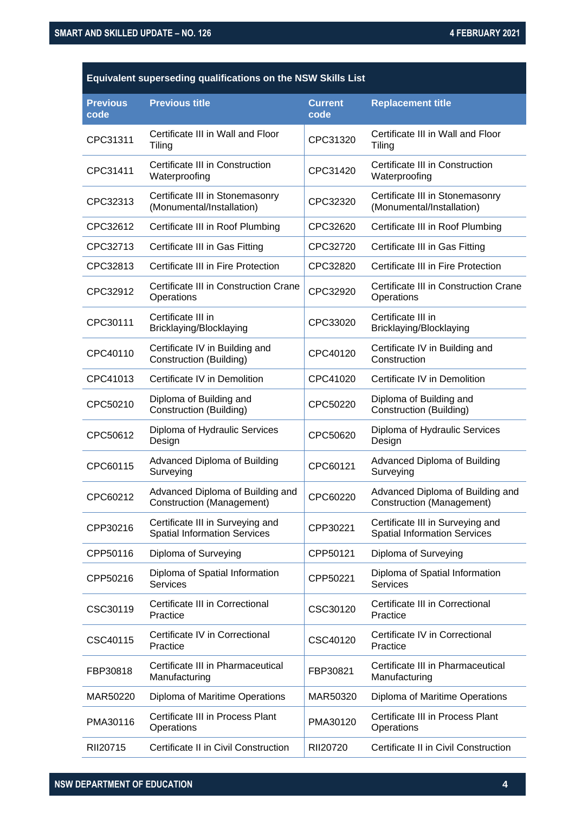### **Equivalent superseding qualifications on the NSW Skills List**

| <b>Previous</b><br>code | <b>Previous title</b>                                                   | <b>Current</b><br>code | <b>Replacement title</b>                                                |
|-------------------------|-------------------------------------------------------------------------|------------------------|-------------------------------------------------------------------------|
| CPC31311                | Certificate III in Wall and Floor<br>Tiling                             | CPC31320               | Certificate III in Wall and Floor<br>Tiling                             |
| CPC31411                | Certificate III in Construction<br>Waterproofing                        | CPC31420               | Certificate III in Construction<br>Waterproofing                        |
| CPC32313                | Certificate III in Stonemasonry<br>(Monumental/Installation)            | CPC32320               | Certificate III in Stonemasonry<br>(Monumental/Installation)            |
| CPC32612                | Certificate III in Roof Plumbing                                        | CPC32620               | Certificate III in Roof Plumbing                                        |
| CPC32713                | Certificate III in Gas Fitting                                          | CPC32720               | Certificate III in Gas Fitting                                          |
| CPC32813                | Certificate III in Fire Protection                                      | CPC32820               | Certificate III in Fire Protection                                      |
| CPC32912                | Certificate III in Construction Crane<br>Operations                     | CPC32920               | Certificate III in Construction Crane<br>Operations                     |
| CPC30111                | Certificate III in<br>Bricklaying/Blocklaying                           | CPC33020               | Certificate III in<br>Bricklaying/Blocklaying                           |
| CPC40110                | Certificate IV in Building and<br>Construction (Building)               | CPC40120               | Certificate IV in Building and<br>Construction                          |
| CPC41013                | Certificate IV in Demolition                                            | CPC41020               | Certificate IV in Demolition                                            |
| CPC50210                | Diploma of Building and<br>Construction (Building)                      | CPC50220               | Diploma of Building and<br>Construction (Building)                      |
| CPC50612                | Diploma of Hydraulic Services<br>Design                                 | CPC50620               | Diploma of Hydraulic Services<br>Design                                 |
| CPC60115                | Advanced Diploma of Building<br>Surveying                               | CPC60121               | <b>Advanced Diploma of Building</b><br>Surveying                        |
| CPC60212                | Advanced Diploma of Building and<br>Construction (Management)           | CPC60220               | Advanced Diploma of Building and<br>Construction (Management)           |
| CPP30216                | Certificate III in Surveying and<br><b>Spatial Information Services</b> | CPP30221               | Certificate III in Surveying and<br><b>Spatial Information Services</b> |
| CPP50116                | Diploma of Surveying                                                    | CPP50121               | Diploma of Surveying                                                    |
| CPP50216                | Diploma of Spatial Information<br><b>Services</b>                       | CPP50221               | Diploma of Spatial Information<br><b>Services</b>                       |
| CSC30119                | Certificate III in Correctional<br>Practice                             | CSC30120               | Certificate III in Correctional<br>Practice                             |
| CSC40115                | Certificate IV in Correctional<br>Practice                              | CSC40120               | Certificate IV in Correctional<br>Practice                              |
| FBP30818                | Certificate III in Pharmaceutical<br>Manufacturing                      | FBP30821               | Certificate III in Pharmaceutical<br>Manufacturing                      |
| MAR50220                | Diploma of Maritime Operations                                          | MAR50320               | Diploma of Maritime Operations                                          |
| PMA30116                | Certificate III in Process Plant<br>Operations                          | PMA30120               | Certificate III in Process Plant<br>Operations                          |
| RII20715                | Certificate II in Civil Construction                                    | RII20720               | Certificate II in Civil Construction                                    |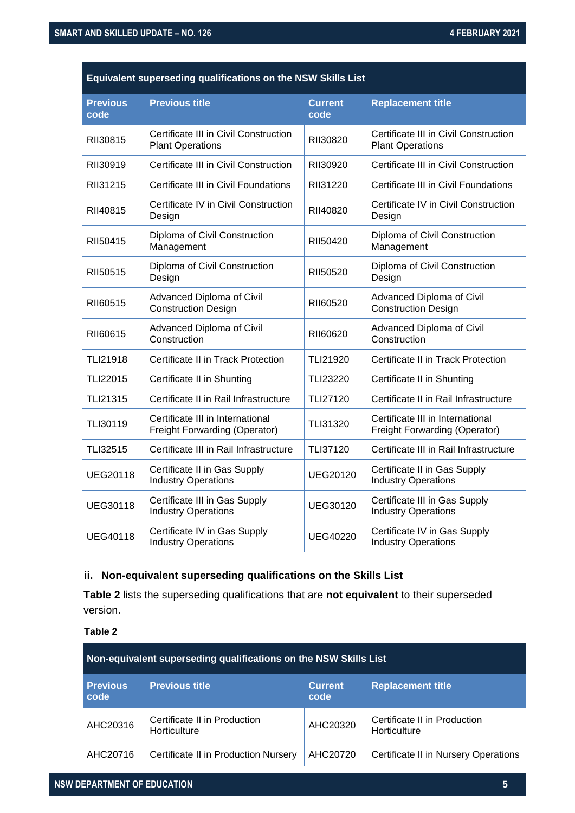| Equivalent superseding qualifications on the NSW Skills List |                                                                          |                        |                                                                          |  |
|--------------------------------------------------------------|--------------------------------------------------------------------------|------------------------|--------------------------------------------------------------------------|--|
| <b>Previous</b><br>code                                      | <b>Previous title</b>                                                    | <b>Current</b><br>code | <b>Replacement title</b>                                                 |  |
| RII30815                                                     | Certificate III in Civil Construction<br><b>Plant Operations</b>         | RII30820               | Certificate III in Civil Construction<br><b>Plant Operations</b>         |  |
| RII30919                                                     | Certificate III in Civil Construction                                    | RII30920               | Certificate III in Civil Construction                                    |  |
| RII31215                                                     | Certificate III in Civil Foundations                                     | RII31220               | Certificate III in Civil Foundations                                     |  |
| RII40815                                                     | Certificate IV in Civil Construction<br>Design                           | RII40820               | Certificate IV in Civil Construction<br>Design                           |  |
| RII50415                                                     | Diploma of Civil Construction<br>Management                              | RII50420               | Diploma of Civil Construction<br>Management                              |  |
| RII50515                                                     | Diploma of Civil Construction<br>Design                                  | RII50520               | Diploma of Civil Construction<br>Design                                  |  |
| RII60515                                                     | Advanced Diploma of Civil<br><b>Construction Design</b>                  | RII60520               | Advanced Diploma of Civil<br><b>Construction Design</b>                  |  |
| RII60615                                                     | Advanced Diploma of Civil<br>Construction                                | RII60620               | Advanced Diploma of Civil<br>Construction                                |  |
| TLI21918                                                     | Certificate II in Track Protection                                       | TLI21920               | Certificate II in Track Protection                                       |  |
| <b>TLI22015</b>                                              | Certificate II in Shunting                                               | <b>TLI23220</b>        | Certificate II in Shunting                                               |  |
| TLI21315                                                     | Certificate II in Rail Infrastructure                                    | <b>TLI27120</b>        | Certificate II in Rail Infrastructure                                    |  |
| TLI30119                                                     | Certificate III in International<br><b>Freight Forwarding (Operator)</b> | TLI31320               | Certificate III in International<br><b>Freight Forwarding (Operator)</b> |  |
| TLI32515                                                     | Certificate III in Rail Infrastructure                                   | TLI37120               | Certificate III in Rail Infrastructure                                   |  |
| <b>UEG20118</b>                                              | Certificate II in Gas Supply<br><b>Industry Operations</b>               | <b>UEG20120</b>        | Certificate II in Gas Supply<br><b>Industry Operations</b>               |  |
| UEG30118                                                     | Certificate III in Gas Supply<br><b>Industry Operations</b>              | UEG30120               | Certificate III in Gas Supply<br><b>Industry Operations</b>              |  |
| <b>UEG40118</b>                                              | Certificate IV in Gas Supply<br><b>Industry Operations</b>               | <b>UEG40220</b>        | Certificate IV in Gas Supply<br><b>Industry Operations</b>               |  |

### **ii. Non-equivalent superseding qualifications on the Skills List**

**Table 2** lists the superseding qualifications that are **not equivalent** to their superseded version.

| Non-equivalent superseding qualifications on the NSW Skills List |                                              |                        |                                              |
|------------------------------------------------------------------|----------------------------------------------|------------------------|----------------------------------------------|
| <b>Previous</b><br>code                                          | <b>Previous title</b>                        | <b>Current</b><br>code | <b>Replacement title</b>                     |
| AHC20316                                                         | Certificate II in Production<br>Horticulture | AHC20320               | Certificate II in Production<br>Horticulture |
| AHC20716                                                         | Certificate II in Production Nursery         | AHC20720               | Certificate II in Nursery Operations         |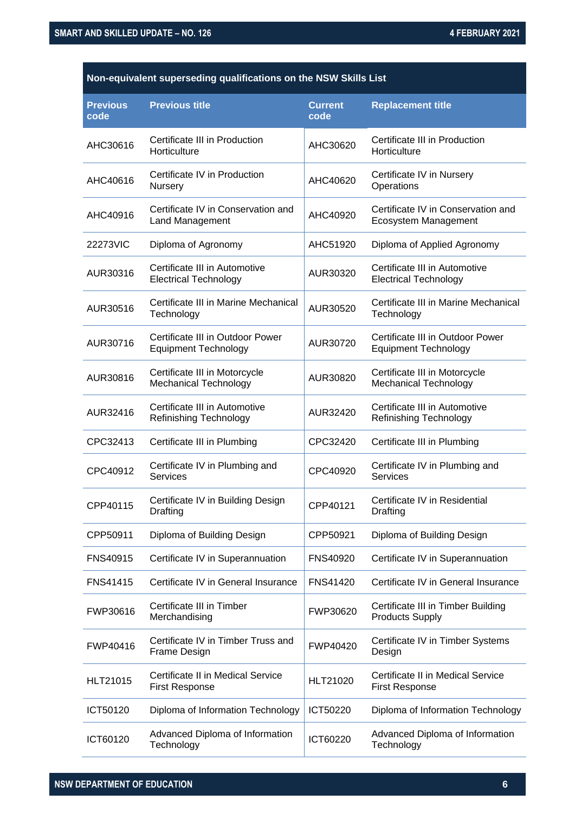| Non-equivalent superseding qualifications on the NSW Skills List |                                                                 |                        |                                                                 |
|------------------------------------------------------------------|-----------------------------------------------------------------|------------------------|-----------------------------------------------------------------|
| <b>Previous</b><br>code                                          | <b>Previous title</b>                                           | <b>Current</b><br>code | <b>Replacement title</b>                                        |
| AHC30616                                                         | Certificate III in Production<br>Horticulture                   | AHC30620               | Certificate III in Production<br>Horticulture                   |
| AHC40616                                                         | Certificate IV in Production<br>Nursery                         | AHC40620               | Certificate IV in Nursery<br>Operations                         |
| AHC40916                                                         | Certificate IV in Conservation and<br>Land Management           | AHC40920               | Certificate IV in Conservation and<br>Ecosystem Management      |
| 22273VIC                                                         | Diploma of Agronomy                                             | AHC51920               | Diploma of Applied Agronomy                                     |
| AUR30316                                                         | Certificate III in Automotive<br><b>Electrical Technology</b>   | AUR30320               | Certificate III in Automotive<br><b>Electrical Technology</b>   |
| AUR30516                                                         | Certificate III in Marine Mechanical<br>Technology              | AUR30520               | Certificate III in Marine Mechanical<br>Technology              |
| AUR30716                                                         | Certificate III in Outdoor Power<br><b>Equipment Technology</b> | AUR30720               | Certificate III in Outdoor Power<br><b>Equipment Technology</b> |
| AUR30816                                                         | Certificate III in Motorcycle<br><b>Mechanical Technology</b>   | AUR30820               | Certificate III in Motorcycle<br>Mechanical Technology          |
| AUR32416                                                         | Certificate III in Automotive<br>Refinishing Technology         | AUR32420               | Certificate III in Automotive<br><b>Refinishing Technology</b>  |
| CPC32413                                                         | Certificate III in Plumbing                                     | CPC32420               | Certificate III in Plumbing                                     |
| CPC40912                                                         | Certificate IV in Plumbing and<br><b>Services</b>               | CPC40920               | Certificate IV in Plumbing and<br><b>Services</b>               |
| CPP40115                                                         | Certificate IV in Building Design<br>Drafting                   | CPP40121               | Certificate IV in Residential<br>Drafting                       |
| CPP50911                                                         | Diploma of Building Design                                      | CPP50921               | Diploma of Building Design                                      |
| <b>FNS40915</b>                                                  | Certificate IV in Superannuation                                | <b>FNS40920</b>        | Certificate IV in Superannuation                                |
| <b>FNS41415</b>                                                  | Certificate IV in General Insurance                             | <b>FNS41420</b>        | Certificate IV in General Insurance                             |
| FWP30616                                                         | Certificate III in Timber<br>Merchandising                      | FWP30620               | Certificate III in Timber Building<br><b>Products Supply</b>    |
| FWP40416                                                         | Certificate IV in Timber Truss and<br>Frame Design              | FWP40420               | Certificate IV in Timber Systems<br>Design                      |
| HLT21015                                                         | Certificate II in Medical Service<br><b>First Response</b>      | HLT21020               | Certificate II in Medical Service<br><b>First Response</b>      |
| ICT50120                                                         | Diploma of Information Technology                               | ICT50220               | Diploma of Information Technology                               |
| ICT60120                                                         | Advanced Diploma of Information<br>Technology                   | ICT60220               | Advanced Diploma of Information<br>Technology                   |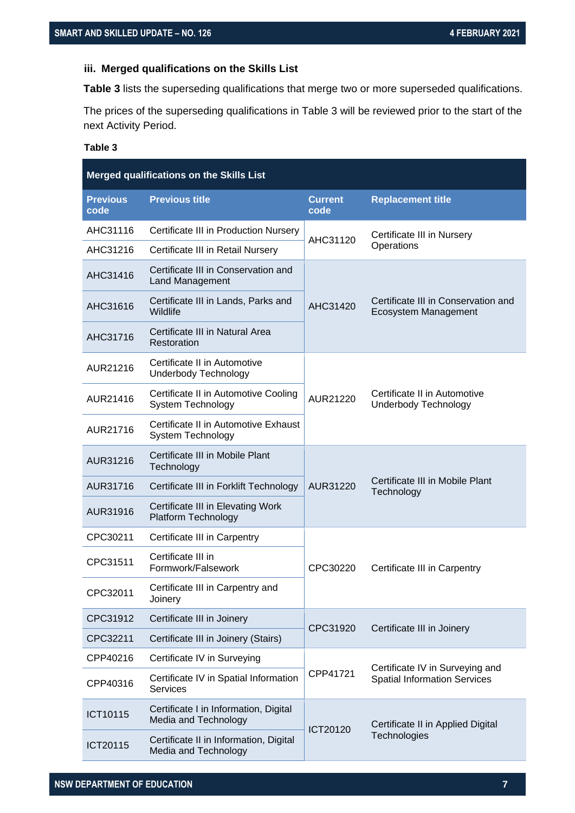#### **iii. Merged qualifications on the Skills List**

**Table 3** lists the superseding qualifications that merge two or more superseded qualifications.

The prices of the superseding qualifications in Table 3 will be reviewed prior to the start of the next Activity Period.

| Merged qualifications on the Skills List |                                                                  |                        |                                                             |
|------------------------------------------|------------------------------------------------------------------|------------------------|-------------------------------------------------------------|
| <b>Previous</b><br>code                  | <b>Previous title</b>                                            | <b>Current</b><br>code | <b>Replacement title</b>                                    |
| AHC31116                                 | Certificate III in Production Nursery                            | AHC31120               | Certificate III in Nursery                                  |
| AHC31216                                 | Certificate III in Retail Nursery                                |                        | Operations                                                  |
| AHC31416                                 | Certificate III in Conservation and<br><b>Land Management</b>    |                        |                                                             |
| AHC31616                                 | Certificate III in Lands, Parks and<br>Wildlife                  | AHC31420               | Certificate III in Conservation and<br>Ecosystem Management |
| AHC31716                                 | Certificate III in Natural Area<br>Restoration                   |                        |                                                             |
| AUR21216                                 | Certificate II in Automotive<br><b>Underbody Technology</b>      |                        |                                                             |
| AUR21416                                 | Certificate II in Automotive Cooling<br><b>System Technology</b> | AUR21220               | Certificate II in Automotive<br>Underbody Technology        |
| AUR21716                                 | Certificate II in Automotive Exhaust<br><b>System Technology</b> |                        |                                                             |
| AUR31216                                 | Certificate III in Mobile Plant<br>Technology                    |                        |                                                             |
| AUR31716                                 | Certificate III in Forklift Technology                           | AUR31220               | Certificate III in Mobile Plant<br>Technology               |
| AUR31916                                 | Certificate III in Elevating Work<br><b>Platform Technology</b>  |                        |                                                             |
| CPC30211                                 | Certificate III in Carpentry                                     |                        |                                                             |
| CPC31511                                 | Certificate III in<br>Formwork/Falsework                         | CPC30220               | Certificate III in Carpentry                                |
| CPC32011                                 | Certificate III in Carpentry and<br>Joinery                      |                        |                                                             |
| CPC31912                                 | Certificate III in Joinery                                       |                        |                                                             |
| CPC32211                                 | Certificate III in Joinery (Stairs)                              | CPC31920               | Certificate III in Joinery                                  |
| CPP40216                                 | Certificate IV in Surveying                                      |                        | Certificate IV in Surveying and                             |
| CPP40316                                 | Certificate IV in Spatial Information<br><b>Services</b>         | CPP41721               | <b>Spatial Information Services</b>                         |
| ICT10115                                 | Certificate I in Information, Digital<br>Media and Technology    | ICT20120               | Certificate II in Applied Digital                           |
| ICT20115                                 | Certificate II in Information, Digital<br>Media and Technology   |                        | Technologies                                                |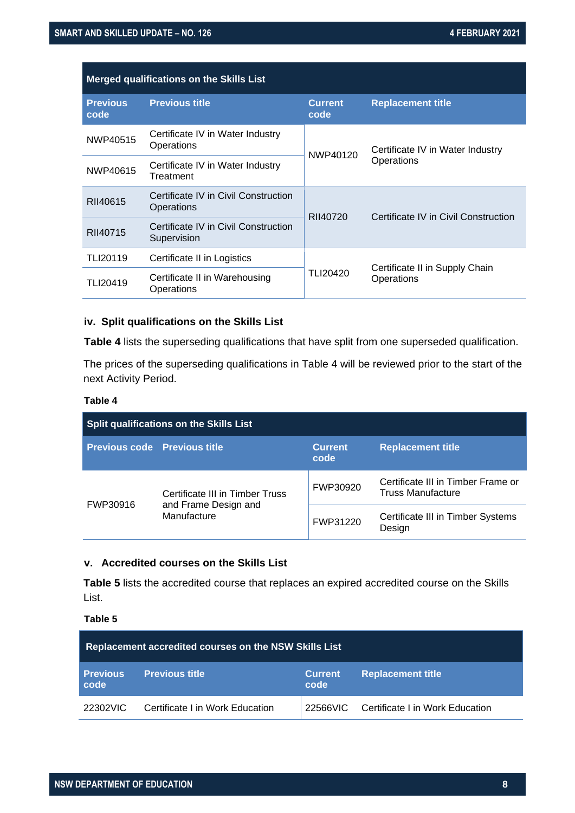| <b>Merged qualifications on the Skills List</b> |                                                     |                        |                                                |
|-------------------------------------------------|-----------------------------------------------------|------------------------|------------------------------------------------|
| <b>Previous</b><br>code                         | <b>Previous title</b>                               | <b>Current</b><br>code | <b>Replacement title</b>                       |
| NWP40515                                        | Certificate IV in Water Industry<br>Operations      | NWP40120               | Certificate IV in Water Industry<br>Operations |
| NWP40615                                        | Certificate IV in Water Industry<br>Treatment       |                        |                                                |
| RII40615                                        | Certificate IV in Civil Construction<br>Operations  |                        | Certificate IV in Civil Construction           |
| RII40715                                        | Certificate IV in Civil Construction<br>Supervision | RII40720               |                                                |
| TLI20119                                        | Certificate II in Logistics                         |                        |                                                |
| TLI20419                                        | Certificate II in Warehousing<br>Operations         | TLI20420               | Certificate II in Supply Chain<br>Operations   |

#### **iv. Split qualifications on the Skills List**

**Table 4** lists the superseding qualifications that have split from one superseded qualification.

The prices of the superseding qualifications in Table 4 will be reviewed prior to the start of the next Activity Period.

#### **Table 4**

| <b>Split qualifications on the Skills List</b> |                                                                        |                        |                                                         |
|------------------------------------------------|------------------------------------------------------------------------|------------------------|---------------------------------------------------------|
| <b>Previous code Previous title</b>            |                                                                        | <b>Current</b><br>code | <b>Replacement title</b>                                |
| FWP30916                                       | Certificate III in Timber Truss<br>and Frame Design and<br>Manufacture | FWP30920               | Certificate III in Timber Frame or<br>Truss Manufacture |
|                                                |                                                                        | FWP31220               | Certificate III in Timber Systems<br>Design             |

#### **v. Accredited courses on the Skills List**

**Table 5** lists the accredited course that replaces an expired accredited course on the Skills List.

| Replacement accredited courses on the NSW Skills List |                                 |                        |                                          |
|-------------------------------------------------------|---------------------------------|------------------------|------------------------------------------|
| <b>Previous</b><br>code                               | <b>Previous title</b>           | <b>Current</b><br>code | <b>Replacement title</b>                 |
| 22302VIC                                              | Certificate I in Work Education |                        | 22566VIC Certificate I in Work Education |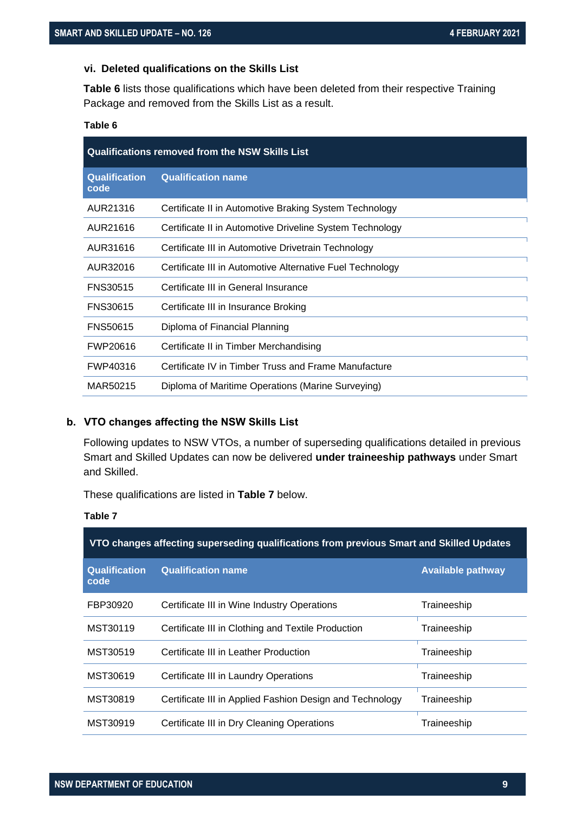#### **vi. Deleted qualifications on the Skills List**

**Table 6** lists those qualifications which have been deleted from their respective Training Package and removed from the Skills List as a result.

#### **Table 6**

| <b>Qualifications removed from the NSW Skills List</b> |                                                           |  |
|--------------------------------------------------------|-----------------------------------------------------------|--|
| <b>Qualification</b><br>code                           | <b>Qualification name</b>                                 |  |
| AUR21316                                               | Certificate II in Automotive Braking System Technology    |  |
| AUR21616                                               | Certificate II in Automotive Driveline System Technology  |  |
| AUR31616                                               | Certificate III in Automotive Drivetrain Technology       |  |
| AUR32016                                               | Certificate III in Automotive Alternative Fuel Technology |  |
| <b>FNS30515</b>                                        | Certificate III in General Insurance                      |  |
| <b>FNS30615</b>                                        | Certificate III in Insurance Broking                      |  |
| <b>FNS50615</b>                                        | Diploma of Financial Planning                             |  |
| FWP20616                                               | Certificate II in Timber Merchandising                    |  |
| FWP40316                                               | Certificate IV in Timber Truss and Frame Manufacture      |  |
| MAR50215                                               | Diploma of Maritime Operations (Marine Surveying)         |  |

#### <span id="page-8-0"></span>**b. VTO changes affecting the NSW Skills List**

Following updates to NSW VTOs, a number of superseding qualifications detailed in previous Smart and Skilled Updates can now be delivered **under traineeship pathways** under Smart and Skilled.

These qualifications are listed in **Table 7** below.

| . .<br>٠ |  |
|----------|--|
|----------|--|

| VTO changes affecting superseding qualifications from previous Smart and Skilled Updates |                                                          |                          |
|------------------------------------------------------------------------------------------|----------------------------------------------------------|--------------------------|
| <b>Qualification</b><br>code                                                             | <b>Qualification name</b>                                | <b>Available pathway</b> |
| FBP30920                                                                                 | Certificate III in Wine Industry Operations              | Traineeship              |
| MST30119                                                                                 | Certificate III in Clothing and Textile Production       | Traineeship              |
| MST30519                                                                                 | Certificate III in Leather Production                    | Traineeship              |
| MST30619                                                                                 | Certificate III in Laundry Operations                    | Traineeship              |
| MST30819                                                                                 | Certificate III in Applied Fashion Design and Technology | Traineeship              |
| MST30919                                                                                 | Certificate III in Dry Cleaning Operations               | Traineeship              |